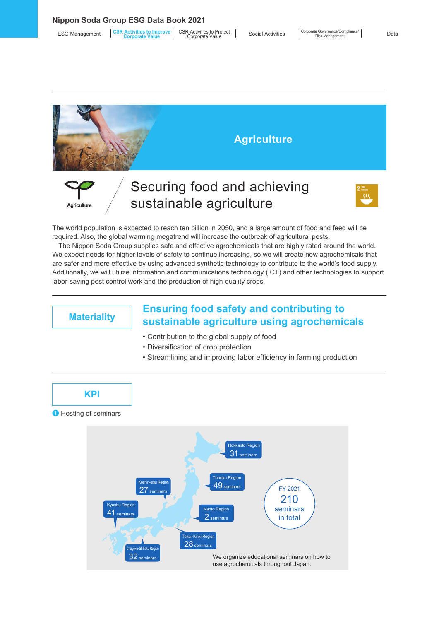**Nippon Soda Group ESG Data Book 2021**

| <b>ESG Management</b> | <b>CSR Activities to Improve CSR Activities to Protect</b><br><b>Corporate Value</b> | Corporate Value | <b>Social Activities</b> |
|-----------------------|--------------------------------------------------------------------------------------|-----------------|--------------------------|
|-----------------------|--------------------------------------------------------------------------------------|-----------------|--------------------------|



The world population is expected to reach ten billion in 2050, and a large amount of food and feed will be required. Also, the global warming megatrend will increase the outbreak of agricultural pests.

The Nippon Soda Group supplies safe and effective agrochemicals that are highly rated around the world. We expect needs for higher levels of safety to continue increasing, so we will create new agrochemicals that are safer and more effective by using advanced synthetic technology to contribute to the world's food supply. Additionally, we will utilize information and communications technology (ICT) and other technologies to support labor-saving pest control work and the production of high-quality crops.

## **Materiality Ensuring food safety and contributing to sustainable agriculture using agrochemicals**

- Contribution to the global supply of food
- Diversification of crop protection
- Streamlining and improving labor efficiency in farming production



❶ Hosting of seminars